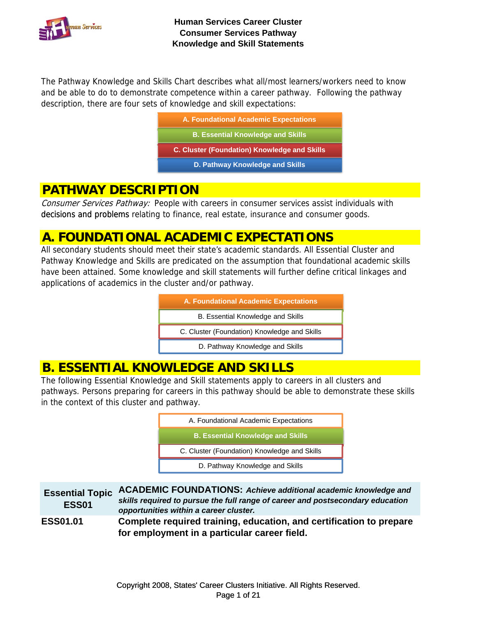

The Pathway Knowledge and Skills Chart describes what all/most learners/workers need to know and be able to do to demonstrate competence within a career pathway. Following the pathway description, there are four sets of knowledge and skill expectations:

| A. Foundational Academic Expectations        |
|----------------------------------------------|
| <b>B. Essential Knowledge and Skills</b>     |
| C. Cluster (Foundation) Knowledge and Skills |
| D. Pathway Knowledge and Skills              |

### **PATHWAY DESCRIPTION**

Consumer Services Pathway: People with careers in consumer services assist individuals with decisions and problems relating to finance, real estate, insurance and consumer goods.

## **A. FOUNDATIONAL ACADEMIC EXPECTATIONS**

All secondary students should meet their state's academic standards. All Essential Cluster and Pathway Knowledge and Skills are predicated on the assumption that foundational academic skills have been attained. Some knowledge and skill statements will further define critical linkages and applications of academics in the cluster and/or pathway.



# **B. ESSENTIAL KNOWLEDGE AND SKILLS**

The following Essential Knowledge and Skill statements apply to careers in all clusters and pathways. Persons preparing for careers in this pathway should be able to demonstrate these skills in the context of this cluster and pathway.

| A. Foundational Academic Expectations        |  |
|----------------------------------------------|--|
| <b>B. Essential Knowledge and Skills</b>     |  |
| C. Cluster (Foundation) Knowledge and Skills |  |
| D. Pathway Knowledge and Skills              |  |

**Essential Topic ESS01 ACADEMIC FOUNDATIONS:** *Achieve additional academic knowledge and skills required to pursue the full range of career and postsecondary education opportunities within a career cluster.*  **ESS01.01 Complete required training, education, and certification to prepare for employment in a particular career field.**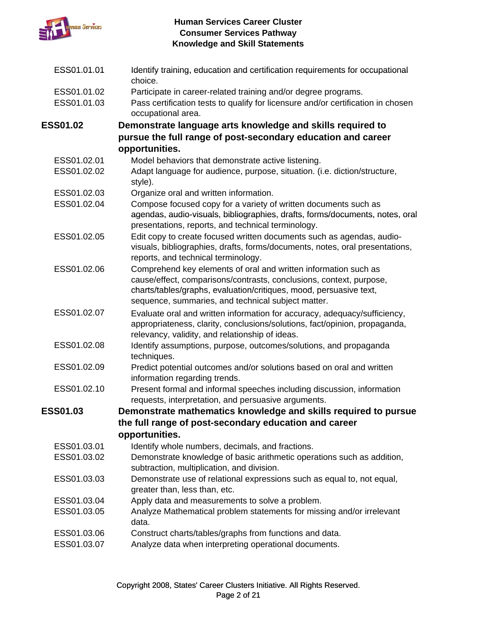

| ESS01.01.01     | Identify training, education and certification requirements for occupational<br>choice.                                                                                                                                                                            |
|-----------------|--------------------------------------------------------------------------------------------------------------------------------------------------------------------------------------------------------------------------------------------------------------------|
| ESS01.01.02     | Participate in career-related training and/or degree programs.                                                                                                                                                                                                     |
| ESS01.01.03     | Pass certification tests to qualify for licensure and/or certification in chosen<br>occupational area.                                                                                                                                                             |
| <b>ESS01.02</b> | Demonstrate language arts knowledge and skills required to                                                                                                                                                                                                         |
|                 | pursue the full range of post-secondary education and career                                                                                                                                                                                                       |
|                 | opportunities.                                                                                                                                                                                                                                                     |
| ESS01.02.01     | Model behaviors that demonstrate active listening.                                                                                                                                                                                                                 |
| ESS01.02.02     | Adapt language for audience, purpose, situation. (i.e. diction/structure,<br>style).                                                                                                                                                                               |
| ESS01.02.03     | Organize oral and written information.                                                                                                                                                                                                                             |
| ESS01.02.04     | Compose focused copy for a variety of written documents such as<br>agendas, audio-visuals, bibliographies, drafts, forms/documents, notes, oral<br>presentations, reports, and technical terminology.                                                              |
| ESS01.02.05     | Edit copy to create focused written documents such as agendas, audio-<br>visuals, bibliographies, drafts, forms/documents, notes, oral presentations,<br>reports, and technical terminology.                                                                       |
| ESS01.02.06     | Comprehend key elements of oral and written information such as<br>cause/effect, comparisons/contrasts, conclusions, context, purpose,<br>charts/tables/graphs, evaluation/critiques, mood, persuasive text,<br>sequence, summaries, and technical subject matter. |
| ESS01.02.07     | Evaluate oral and written information for accuracy, adequacy/sufficiency,<br>appropriateness, clarity, conclusions/solutions, fact/opinion, propaganda,<br>relevancy, validity, and relationship of ideas.                                                         |
| ESS01.02.08     | Identify assumptions, purpose, outcomes/solutions, and propaganda<br>techniques.                                                                                                                                                                                   |
| ESS01.02.09     | Predict potential outcomes and/or solutions based on oral and written<br>information regarding trends.                                                                                                                                                             |
| ESS01.02.10     | Present formal and informal speeches including discussion, information<br>requests, interpretation, and persuasive arguments.                                                                                                                                      |
| <b>ESS01.03</b> | Demonstrate mathematics knowledge and skills required to pursue                                                                                                                                                                                                    |
|                 | the full range of post-secondary education and career                                                                                                                                                                                                              |
|                 | opportunities.                                                                                                                                                                                                                                                     |
| ESS01.03.01     | Identify whole numbers, decimals, and fractions.                                                                                                                                                                                                                   |
| ESS01.03.02     | Demonstrate knowledge of basic arithmetic operations such as addition,<br>subtraction, multiplication, and division.                                                                                                                                               |
| ESS01.03.03     | Demonstrate use of relational expressions such as equal to, not equal,<br>greater than, less than, etc.                                                                                                                                                            |
| ESS01.03.04     | Apply data and measurements to solve a problem.                                                                                                                                                                                                                    |
| ESS01.03.05     | Analyze Mathematical problem statements for missing and/or irrelevant<br>data.                                                                                                                                                                                     |
| ESS01.03.06     | Construct charts/tables/graphs from functions and data.                                                                                                                                                                                                            |
| ESS01.03.07     | Analyze data when interpreting operational documents.                                                                                                                                                                                                              |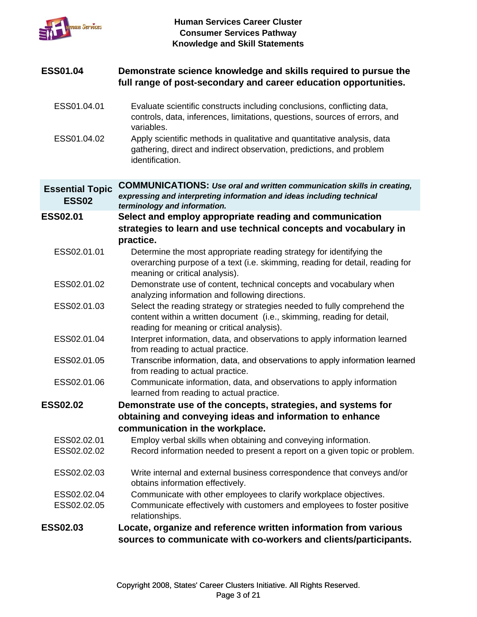

#### **ESS01.04** Demonstrate science knowledge and skills required to pursue the **full range of post-secondary and career education opportunities.**

- ESS01.04.01 Evaluate scientific constructs including conclusions, conflicting data, controls, data, inferences, limitations, questions, sources of errors, and variables.
- ESS01.04.02 Apply scientific methods in qualitative and quantitative analysis, data gathering, direct and indirect observation, predictions, and problem identification.

**Essential Topic ESS02 COMMUNICATIONS:** *Use oral and written communication skills in creating, expressing and interpreting information and ideas including technical terminology and information.*

**ESS02.01** Select and employ appropriate reading and communication **strategies to learn and use technical concepts and vocabulary in practice.**

- ESS02.01.01 Determine the most appropriate reading strategy for identifying the overarching purpose of a text (i.e. skimming, reading for detail, reading for meaning or critical analysis).
- ESS02.01.02 Demonstrate use of content, technical concepts and vocabulary when analyzing information and following directions.
- ESS02.01.03 Select the reading strategy or strategies needed to fully comprehend the content within a written document (i.e., skimming, reading for detail, reading for meaning or critical analysis).
- ESS02.01.04 Interpret information, data, and observations to apply information learned from reading to actual practice.
- ESS02.01.05 Transcribe information, data, and observations to apply information learned from reading to actual practice.
- ESS02.01.06 Communicate information, data, and observations to apply information learned from reading to actual practice.
- **ESS02.02 Demonstrate use of the concepts, strategies, and systems for obtaining and conveying ideas and information to enhance communication in the workplace.**
	- ESS02.02.01 Employ verbal skills when obtaining and conveying information. ESS02.02.02 Record information needed to present a report on a given topic or problem.
	- ESS02.02.03 Write internal and external business correspondence that conveys and/or obtains information effectively.
	- ESS02.02.04 Communicate with other employees to clarify workplace objectives.
	- ESS02.02.05 Communicate effectively with customers and employees to foster positive relationships.
- **ESS02.03 Locate, organize and reference written information from various sources to communicate with co-workers and clients/participants.**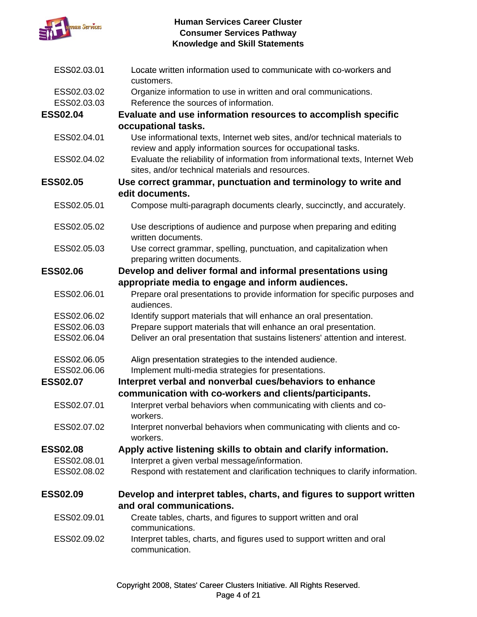

| ESS02.03.01     | Locate written information used to communicate with co-workers and<br>customers.                                                   |
|-----------------|------------------------------------------------------------------------------------------------------------------------------------|
| ESS02.03.02     | Organize information to use in written and oral communications.                                                                    |
| ESS02.03.03     | Reference the sources of information.                                                                                              |
| <b>ESS02.04</b> | Evaluate and use information resources to accomplish specific<br>occupational tasks.                                               |
| ESS02.04.01     | Use informational texts, Internet web sites, and/or technical materials to                                                         |
|                 | review and apply information sources for occupational tasks.                                                                       |
| ESS02.04.02     | Evaluate the reliability of information from informational texts, Internet Web<br>sites, and/or technical materials and resources. |
| <b>ESS02.05</b> | Use correct grammar, punctuation and terminology to write and                                                                      |
|                 | edit documents.                                                                                                                    |
| ESS02.05.01     | Compose multi-paragraph documents clearly, succinctly, and accurately.                                                             |
| ESS02.05.02     | Use descriptions of audience and purpose when preparing and editing<br>written documents.                                          |
| ESS02.05.03     | Use correct grammar, spelling, punctuation, and capitalization when<br>preparing written documents.                                |
| <b>ESS02.06</b> | Develop and deliver formal and informal presentations using                                                                        |
|                 | appropriate media to engage and inform audiences.                                                                                  |
| ESS02.06.01     | Prepare oral presentations to provide information for specific purposes and<br>audiences.                                          |
| ESS02.06.02     | Identify support materials that will enhance an oral presentation.                                                                 |
| ESS02.06.03     | Prepare support materials that will enhance an oral presentation.                                                                  |
| ESS02.06.04     | Deliver an oral presentation that sustains listeners' attention and interest.                                                      |
| ESS02.06.05     | Align presentation strategies to the intended audience.                                                                            |
| ESS02.06.06     | Implement multi-media strategies for presentations.                                                                                |
| <b>ESS02.07</b> | Interpret verbal and nonverbal cues/behaviors to enhance                                                                           |
|                 | communication with co-workers and clients/participants.                                                                            |
| ESS02.07.01     | Interpret verbal behaviors when communicating with clients and co-<br>workers.                                                     |
| ESS02.07.02     | Interpret nonverbal behaviors when communicating with clients and co-<br>workers.                                                  |
| <b>ESS02.08</b> | Apply active listening skills to obtain and clarify information.                                                                   |
| ESS02.08.01     | Interpret a given verbal message/information.                                                                                      |
| ESS02.08.02     | Respond with restatement and clarification techniques to clarify information.                                                      |
| <b>ESS02.09</b> | Develop and interpret tables, charts, and figures to support written                                                               |
|                 | and oral communications.                                                                                                           |
| ESS02.09.01     | Create tables, charts, and figures to support written and oral<br>communications.                                                  |
| ESS02.09.02     | Interpret tables, charts, and figures used to support written and oral<br>communication.                                           |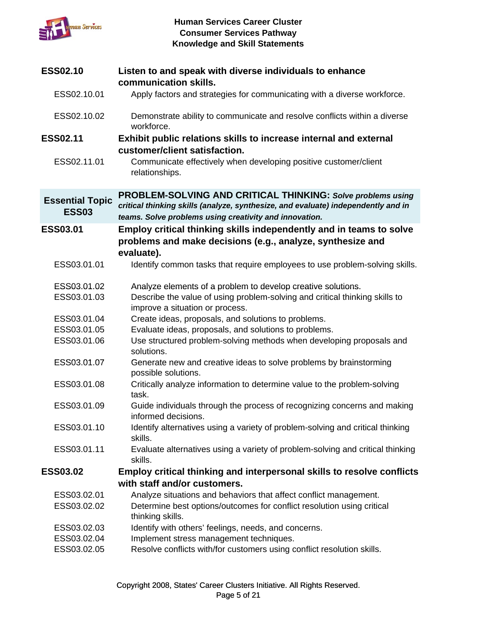

| <b>ESS02.10</b>                        | Listen to and speak with diverse individuals to enhance                                                                                          |
|----------------------------------------|--------------------------------------------------------------------------------------------------------------------------------------------------|
|                                        | communication skills.                                                                                                                            |
| ESS02.10.01                            | Apply factors and strategies for communicating with a diverse workforce.                                                                         |
| ESS02.10.02                            | Demonstrate ability to communicate and resolve conflicts within a diverse<br>workforce.                                                          |
| <b>ESS02.11</b>                        | Exhibit public relations skills to increase internal and external                                                                                |
|                                        | customer/client satisfaction.                                                                                                                    |
| ESS02.11.01                            | Communicate effectively when developing positive customer/client<br>relationships.                                                               |
| <b>Essential Topic</b><br><b>ESS03</b> | PROBLEM-SOLVING AND CRITICAL THINKING: Solve problems using<br>critical thinking skills (analyze, synthesize, and evaluate) independently and in |
|                                        | teams. Solve problems using creativity and innovation.                                                                                           |
| ESS03.01                               | Employ critical thinking skills independently and in teams to solve                                                                              |
|                                        | problems and make decisions (e.g., analyze, synthesize and<br>evaluate).                                                                         |
| ESS03.01.01                            | Identify common tasks that require employees to use problem-solving skills.                                                                      |
|                                        |                                                                                                                                                  |
| ESS03.01.02                            | Analyze elements of a problem to develop creative solutions.                                                                                     |
| ESS03.01.03                            | Describe the value of using problem-solving and critical thinking skills to                                                                      |
|                                        | improve a situation or process.                                                                                                                  |
| ESS03.01.04                            | Create ideas, proposals, and solutions to problems.                                                                                              |
| ESS03.01.05<br>ESS03.01.06             | Evaluate ideas, proposals, and solutions to problems.<br>Use structured problem-solving methods when developing proposals and                    |
|                                        | solutions.                                                                                                                                       |
| ESS03.01.07                            | Generate new and creative ideas to solve problems by brainstorming                                                                               |
|                                        | possible solutions.                                                                                                                              |
| ESS03.01.08                            | Critically analyze information to determine value to the problem-solving                                                                         |
|                                        | task.                                                                                                                                            |
| ESS03.01.09                            | Guide individuals through the process of recognizing concerns and making<br>informed decisions.                                                  |
| ESS03.01.10                            | Identify alternatives using a variety of problem-solving and critical thinking                                                                   |
|                                        | skills.                                                                                                                                          |
| ESS03.01.11                            | Evaluate alternatives using a variety of problem-solving and critical thinking                                                                   |
|                                        | skills.                                                                                                                                          |
| <b>ESS03.02</b>                        | Employ critical thinking and interpersonal skills to resolve conflicts                                                                           |
|                                        | with staff and/or customers.                                                                                                                     |
| ESS03.02.01                            | Analyze situations and behaviors that affect conflict management.                                                                                |
| ESS03.02.02                            | Determine best options/outcomes for conflict resolution using critical<br>thinking skills.                                                       |
| ESS03.02.03                            | Identify with others' feelings, needs, and concerns.                                                                                             |
| ESS03.02.04                            | Implement stress management techniques.                                                                                                          |
| ESS03.02.05                            | Resolve conflicts with/for customers using conflict resolution skills.                                                                           |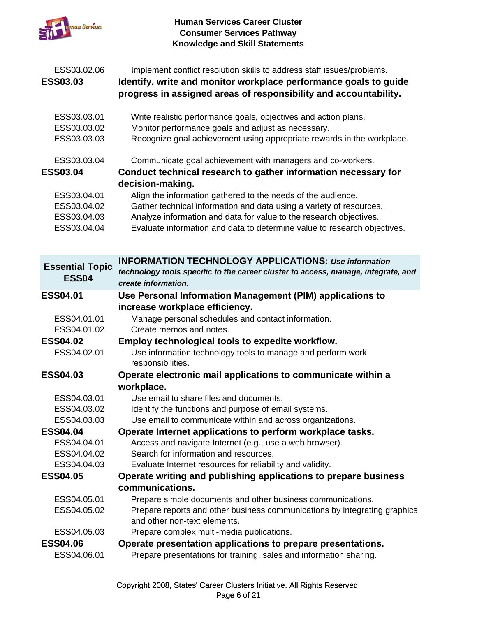

| ESS03.02.06<br><b>ESS03.03</b>                                                             | Implement conflict resolution skills to address staff issues/problems.<br>Identify, write and monitor workplace performance goals to guide<br>progress in assigned areas of responsibility and accountability.                                                                                                                                                                                                                            |
|--------------------------------------------------------------------------------------------|-------------------------------------------------------------------------------------------------------------------------------------------------------------------------------------------------------------------------------------------------------------------------------------------------------------------------------------------------------------------------------------------------------------------------------------------|
| ESS03.03.01<br>ESS03.03.02<br>ESS03.03.03                                                  | Write realistic performance goals, objectives and action plans.<br>Monitor performance goals and adjust as necessary.<br>Recognize goal achievement using appropriate rewards in the workplace.                                                                                                                                                                                                                                           |
| ESS03.03.04<br><b>ESS03.04</b><br>ESS03.04.01<br>ESS03.04.02<br>ESS03.04.03<br>ESS03.04.04 | Communicate goal achievement with managers and co-workers.<br>Conduct technical research to gather information necessary for<br>decision-making.<br>Align the information gathered to the needs of the audience.<br>Gather technical information and data using a variety of resources.<br>Analyze information and data for value to the research objectives.<br>Evaluate information and data to determine value to research objectives. |
| <b>Essential Topic</b><br><b>ESS04</b>                                                     | <b>INFORMATION TECHNOLOGY APPLICATIONS: Use information</b><br>technology tools specific to the career cluster to access, manage, integrate, and<br>create information.                                                                                                                                                                                                                                                                   |
| <b>ESS04.01</b>                                                                            | Use Personal Information Management (PIM) applications to                                                                                                                                                                                                                                                                                                                                                                                 |
| ESS04.01.01<br>ESS04.01.02<br><b>ESS04.02</b><br>ESS04.02.01                               | increase workplace efficiency.<br>Manage personal schedules and contact information.<br>Create memos and notes.<br>Employ technological tools to expedite workflow.<br>Use information technology tools to manage and perform work                                                                                                                                                                                                        |
| <b>ESS04.03</b>                                                                            | responsibilities.<br>Operate electronic mail applications to communicate within a<br>workplace.                                                                                                                                                                                                                                                                                                                                           |
| ESS04.03.01<br>ESS04.03.02                                                                 | Use email to share files and documents.<br>Identify the functions and purpose of email systems.                                                                                                                                                                                                                                                                                                                                           |
| ESS04.03.03                                                                                | Use email to communicate within and across organizations.                                                                                                                                                                                                                                                                                                                                                                                 |

**ESS04 04 ESS04.04Operate Internet applications to perform workplace tasks Operate Internet applications to perform workplace tasks.**

| ESS04.04.01 |  | Access and navigate Internet (e.g., use a web browser). |  |
|-------------|--|---------------------------------------------------------|--|

- ESS04.04.02 Search for information and resources.
- ESS04.04.03 Evaluate Internet resources for reliability and validity.
- **ESS04.05 Operate writing and publishing applications to prepare business communications.**
	- ESS04.05.01 Prepare simple documents and other business communications.
	- ESS04.05.02 Prepare reports and other business communications by integrating graphics and other non-text elements.
- ESS04.05.03 Prepare complex multi-media publications.

### **ESS04.06 Operate presentation applications to prepare presentations.**

ESS04.06.01 Prepare presentations for training, sales and information sharing.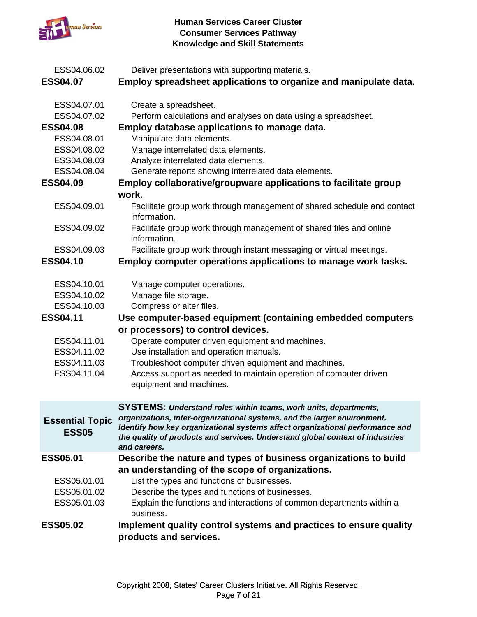

| ESS04.06.02<br><b>ESS04.07</b>                                                                                                                                                                                                                               | Deliver presentations with supporting materials.<br>Employ spreadsheet applications to organize and manipulate data.                                                                                                                                                                                                                                                                                                                                                                                                                                                                                                                                                                                                                                                                                                                                               |
|--------------------------------------------------------------------------------------------------------------------------------------------------------------------------------------------------------------------------------------------------------------|--------------------------------------------------------------------------------------------------------------------------------------------------------------------------------------------------------------------------------------------------------------------------------------------------------------------------------------------------------------------------------------------------------------------------------------------------------------------------------------------------------------------------------------------------------------------------------------------------------------------------------------------------------------------------------------------------------------------------------------------------------------------------------------------------------------------------------------------------------------------|
| ESS04.07.01<br>ESS04.07.02<br><b>ESS04.08</b><br>ESS04.08.01<br>ESS04.08.02<br>ESS04.08.03<br>ESS04.08.04<br><b>ESS04.09</b><br>ESS04.09.01<br>ESS04.09.02<br>ESS04.09.03<br><b>ESS04.10</b><br>ESS04.10.01<br>ESS04.10.02<br>ESS04.10.03<br><b>ESS04.11</b> | Create a spreadsheet.<br>Perform calculations and analyses on data using a spreadsheet.<br>Employ database applications to manage data.<br>Manipulate data elements.<br>Manage interrelated data elements.<br>Analyze interrelated data elements.<br>Generate reports showing interrelated data elements.<br>Employ collaborative/groupware applications to facilitate group<br>work.<br>Facilitate group work through management of shared schedule and contact<br>information.<br>Facilitate group work through management of shared files and online<br>information.<br>Facilitate group work through instant messaging or virtual meetings.<br>Employ computer operations applications to manage work tasks.<br>Manage computer operations.<br>Manage file storage.<br>Compress or alter files.<br>Use computer-based equipment (containing embedded computers |
| ESS04.11.01<br>ESS04.11.02<br>ESS04.11.03<br>ESS04.11.04                                                                                                                                                                                                     | or processors) to control devices.<br>Operate computer driven equipment and machines.<br>Use installation and operation manuals.<br>Troubleshoot computer driven equipment and machines.<br>Access support as needed to maintain operation of computer driven<br>equipment and machines.                                                                                                                                                                                                                                                                                                                                                                                                                                                                                                                                                                           |
| <b>Essential Topic</b><br><b>ESS05</b>                                                                                                                                                                                                                       | <b>SYSTEMS: Understand roles within teams, work units, departments,</b><br>organizations, inter-organizational systems, and the larger environment.<br>Identify how key organizational systems affect organizational performance and<br>the quality of products and services. Understand global context of industries<br>and careers.                                                                                                                                                                                                                                                                                                                                                                                                                                                                                                                              |
| <b>ESS05.01</b><br>ESS05.01.01<br>ESS05.01.02<br>ESS05.01.03<br><b>ESS05.02</b>                                                                                                                                                                              | Describe the nature and types of business organizations to build<br>an understanding of the scope of organizations.<br>List the types and functions of businesses.<br>Describe the types and functions of businesses.<br>Explain the functions and interactions of common departments within a<br>business.<br>Implement quality control systems and practices to ensure quality<br>products and services.                                                                                                                                                                                                                                                                                                                                                                                                                                                         |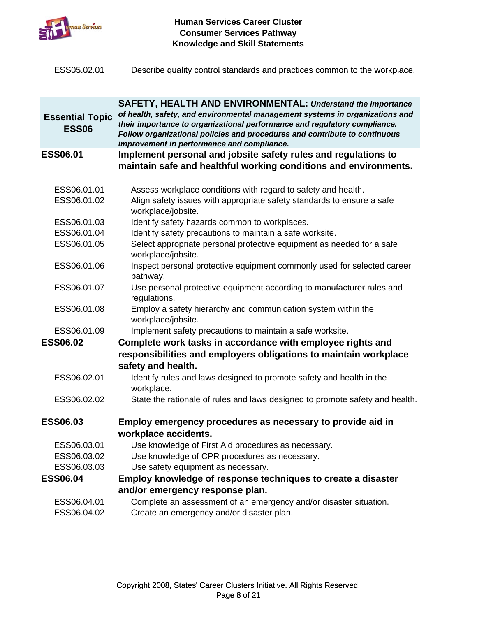

| ESS05.02.01 | Describe quality control standards and practices common to the workplace. |  |
|-------------|---------------------------------------------------------------------------|--|
|             |                                                                           |  |

| <b>Essential Topic</b><br><b>ESS06</b> | <b>SAFETY, HEALTH AND ENVIRONMENTAL: Understand the importance</b><br>of health, safety, and environmental management systems in organizations and<br>their importance to organizational performance and regulatory compliance.<br>Follow organizational policies and procedures and contribute to continuous<br>improvement in performance and compliance. |
|----------------------------------------|-------------------------------------------------------------------------------------------------------------------------------------------------------------------------------------------------------------------------------------------------------------------------------------------------------------------------------------------------------------|
| <b>ESS06.01</b>                        | Implement personal and jobsite safety rules and regulations to<br>maintain safe and healthful working conditions and environments.                                                                                                                                                                                                                          |
| ESS06.01.01                            | Assess workplace conditions with regard to safety and health.                                                                                                                                                                                                                                                                                               |
| ESS06.01.02                            | Align safety issues with appropriate safety standards to ensure a safe<br>workplace/jobsite.                                                                                                                                                                                                                                                                |
| ESS06.01.03                            | Identify safety hazards common to workplaces.                                                                                                                                                                                                                                                                                                               |
| ESS06.01.04                            | Identify safety precautions to maintain a safe worksite.                                                                                                                                                                                                                                                                                                    |
| ESS06.01.05                            | Select appropriate personal protective equipment as needed for a safe<br>workplace/jobsite.                                                                                                                                                                                                                                                                 |
| ESS06.01.06                            | Inspect personal protective equipment commonly used for selected career<br>pathway.                                                                                                                                                                                                                                                                         |
| ESS06.01.07                            | Use personal protective equipment according to manufacturer rules and<br>regulations.                                                                                                                                                                                                                                                                       |
| ESS06.01.08                            | Employ a safety hierarchy and communication system within the<br>workplace/jobsite.                                                                                                                                                                                                                                                                         |
| ESS06.01.09                            | Implement safety precautions to maintain a safe worksite.                                                                                                                                                                                                                                                                                                   |
| <b>ESS06.02</b>                        | Complete work tasks in accordance with employee rights and<br>responsibilities and employers obligations to maintain workplace<br>safety and health.                                                                                                                                                                                                        |
| ESS06.02.01                            | Identify rules and laws designed to promote safety and health in the<br>workplace.                                                                                                                                                                                                                                                                          |
| ESS06.02.02                            | State the rationale of rules and laws designed to promote safety and health.                                                                                                                                                                                                                                                                                |
| <b>ESS06.03</b>                        | Employ emergency procedures as necessary to provide aid in<br>workplace accidents.                                                                                                                                                                                                                                                                          |
| ESS06.03.01                            | Use knowledge of First Aid procedures as necessary.                                                                                                                                                                                                                                                                                                         |
| ESS06.03.02                            | Use knowledge of CPR procedures as necessary.                                                                                                                                                                                                                                                                                                               |
| ESS06.03.03                            | Use safety equipment as necessary.                                                                                                                                                                                                                                                                                                                          |
| <b>ESS06.04</b>                        | Employ knowledge of response techniques to create a disaster                                                                                                                                                                                                                                                                                                |
|                                        | and/or emergency response plan.                                                                                                                                                                                                                                                                                                                             |
| ESS06.04.01<br>ESS06.04.02             | Complete an assessment of an emergency and/or disaster situation.<br>Create an emergency and/or disaster plan.                                                                                                                                                                                                                                              |
|                                        |                                                                                                                                                                                                                                                                                                                                                             |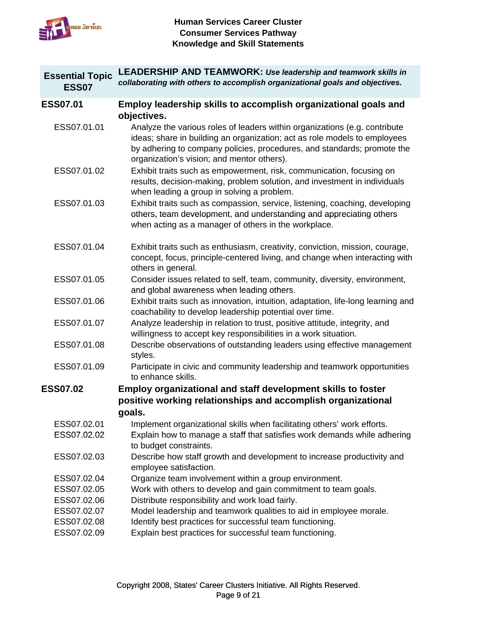

| <b>Essential Topic</b><br><b>ESS07</b> | <b>LEADERSHIP AND TEAMWORK: Use leadership and teamwork skills in</b><br>collaborating with others to accomplish organizational goals and objectives.                                                                                                                                           |
|----------------------------------------|-------------------------------------------------------------------------------------------------------------------------------------------------------------------------------------------------------------------------------------------------------------------------------------------------|
| <b>ESS07.01</b>                        | Employ leadership skills to accomplish organizational goals and                                                                                                                                                                                                                                 |
| ESS07.01.01                            | objectives.<br>Analyze the various roles of leaders within organizations (e.g. contribute<br>ideas; share in building an organization; act as role models to employees<br>by adhering to company policies, procedures, and standards; promote the<br>organization's vision; and mentor others). |
| ESS07.01.02                            | Exhibit traits such as empowerment, risk, communication, focusing on<br>results, decision-making, problem solution, and investment in individuals<br>when leading a group in solving a problem.                                                                                                 |
| ESS07.01.03                            | Exhibit traits such as compassion, service, listening, coaching, developing<br>others, team development, and understanding and appreciating others<br>when acting as a manager of others in the workplace.                                                                                      |
| ESS07.01.04                            | Exhibit traits such as enthusiasm, creativity, conviction, mission, courage,<br>concept, focus, principle-centered living, and change when interacting with<br>others in general.                                                                                                               |
| ESS07.01.05                            | Consider issues related to self, team, community, diversity, environment,<br>and global awareness when leading others.                                                                                                                                                                          |
| ESS07.01.06                            | Exhibit traits such as innovation, intuition, adaptation, life-long learning and<br>coachability to develop leadership potential over time.                                                                                                                                                     |
| ESS07.01.07                            | Analyze leadership in relation to trust, positive attitude, integrity, and<br>willingness to accept key responsibilities in a work situation.                                                                                                                                                   |
| ESS07.01.08                            | Describe observations of outstanding leaders using effective management<br>styles.                                                                                                                                                                                                              |
| ESS07.01.09                            | Participate in civic and community leadership and teamwork opportunities<br>to enhance skills.                                                                                                                                                                                                  |
| <b>ESS07.02</b>                        | <b>Employ organizational and staff development skills to foster</b>                                                                                                                                                                                                                             |
|                                        | positive working relationships and accomplish organizational<br>goals.                                                                                                                                                                                                                          |
| ESS07.02.01                            | Implement organizational skills when facilitating others' work efforts.                                                                                                                                                                                                                         |
| ESS07.02.02                            | Explain how to manage a staff that satisfies work demands while adhering<br>to budget constraints.                                                                                                                                                                                              |
| ESS07.02.03                            | Describe how staff growth and development to increase productivity and<br>employee satisfaction.                                                                                                                                                                                                |
| ESS07.02.04                            | Organize team involvement within a group environment.                                                                                                                                                                                                                                           |
| ESS07.02.05                            | Work with others to develop and gain commitment to team goals.                                                                                                                                                                                                                                  |
| ESS07.02.06                            | Distribute responsibility and work load fairly.                                                                                                                                                                                                                                                 |
| ESS07.02.07<br>ESS07.02.08             | Model leadership and teamwork qualities to aid in employee morale.<br>Identify best practices for successful team functioning.                                                                                                                                                                  |
| ESS07.02.09                            | Explain best practices for successful team functioning.                                                                                                                                                                                                                                         |
|                                        |                                                                                                                                                                                                                                                                                                 |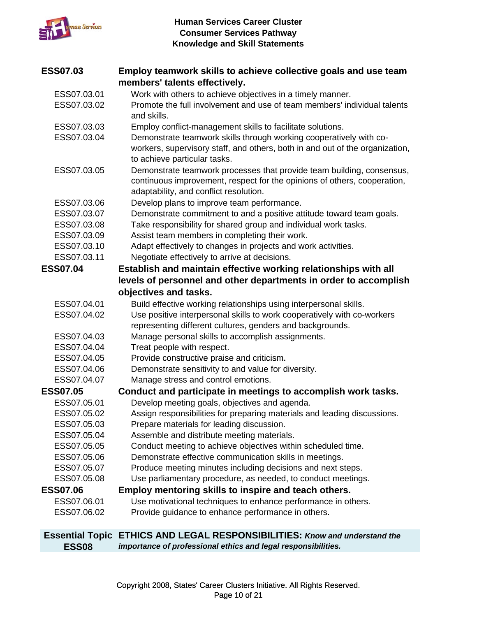

| <b>ESS07.03</b> | Employ teamwork skills to achieve collective goals and use team                                                                                                                             |
|-----------------|---------------------------------------------------------------------------------------------------------------------------------------------------------------------------------------------|
|                 | members' talents effectively.                                                                                                                                                               |
| ESS07.03.01     | Work with others to achieve objectives in a timely manner.                                                                                                                                  |
| ESS07.03.02     | Promote the full involvement and use of team members' individual talents<br>and skills.                                                                                                     |
| ESS07.03.03     | Employ conflict-management skills to facilitate solutions.                                                                                                                                  |
| ESS07.03.04     | Demonstrate teamwork skills through working cooperatively with co-<br>workers, supervisory staff, and others, both in and out of the organization,<br>to achieve particular tasks.          |
| ESS07.03.05     | Demonstrate teamwork processes that provide team building, consensus,<br>continuous improvement, respect for the opinions of others, cooperation,<br>adaptability, and conflict resolution. |
| ESS07.03.06     | Develop plans to improve team performance.                                                                                                                                                  |
| ESS07.03.07     | Demonstrate commitment to and a positive attitude toward team goals.                                                                                                                        |
| ESS07.03.08     | Take responsibility for shared group and individual work tasks.                                                                                                                             |
| ESS07.03.09     | Assist team members in completing their work.                                                                                                                                               |
| ESS07.03.10     | Adapt effectively to changes in projects and work activities.                                                                                                                               |
| ESS07.03.11     | Negotiate effectively to arrive at decisions.                                                                                                                                               |
| <b>ESS07.04</b> | Establish and maintain effective working relationships with all                                                                                                                             |
|                 | levels of personnel and other departments in order to accomplish                                                                                                                            |
|                 | objectives and tasks.                                                                                                                                                                       |
| ESS07.04.01     | Build effective working relationships using interpersonal skills.                                                                                                                           |
| ESS07.04.02     | Use positive interpersonal skills to work cooperatively with co-workers                                                                                                                     |
|                 | representing different cultures, genders and backgrounds.                                                                                                                                   |
| ESS07.04.03     | Manage personal skills to accomplish assignments.                                                                                                                                           |
| ESS07.04.04     | Treat people with respect.                                                                                                                                                                  |
| ESS07.04.05     | Provide constructive praise and criticism.                                                                                                                                                  |
| ESS07.04.06     | Demonstrate sensitivity to and value for diversity.                                                                                                                                         |
| ESS07.04.07     | Manage stress and control emotions.                                                                                                                                                         |
| <b>ESS07.05</b> | Conduct and participate in meetings to accomplish work tasks.                                                                                                                               |
| ESS07.05.01     | Develop meeting goals, objectives and agenda.                                                                                                                                               |
| ESS07.05.02     | Assign responsibilities for preparing materials and leading discussions.                                                                                                                    |
| ESS07.05.03     | Prepare materials for leading discussion.                                                                                                                                                   |
| ESS07.05.04     | Assemble and distribute meeting materials.                                                                                                                                                  |
| ESS07.05.05     | Conduct meeting to achieve objectives within scheduled time.                                                                                                                                |
| ESS07.05.06     | Demonstrate effective communication skills in meetings.                                                                                                                                     |
| ESS07.05.07     | Produce meeting minutes including decisions and next steps.                                                                                                                                 |
| ESS07.05.08     | Use parliamentary procedure, as needed, to conduct meetings.                                                                                                                                |
| <b>ESS07.06</b> | Employ mentoring skills to inspire and teach others.                                                                                                                                        |
| ESS07.06.01     | Use motivational techniques to enhance performance in others.                                                                                                                               |
| ESS07.06.02     | Provide guidance to enhance performance in others.                                                                                                                                          |
|                 | <b>Essential Topic ETHICS AND LEGAL RESPONSIBILITIES: Know and understand the</b>                                                                                                           |

**ESS08** *importance of professional ethics and legal responsibilities.*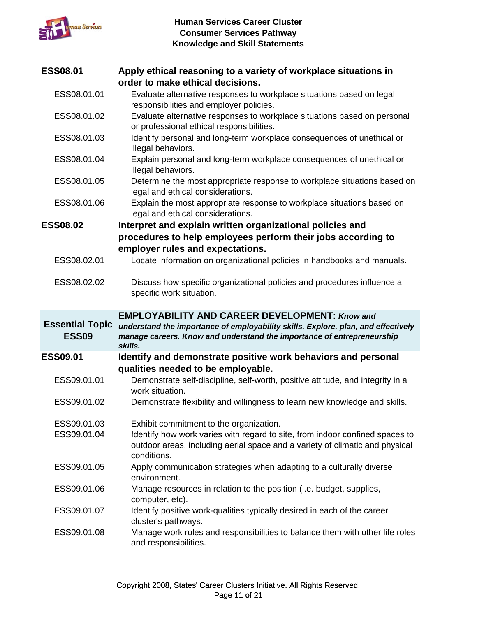

| <b>ESS08.01</b>            | Apply ethical reasoning to a variety of workplace situations in                                                                                                                                                        |
|----------------------------|------------------------------------------------------------------------------------------------------------------------------------------------------------------------------------------------------------------------|
|                            | order to make ethical decisions.                                                                                                                                                                                       |
| ESS08.01.01                | Evaluate alternative responses to workplace situations based on legal                                                                                                                                                  |
|                            | responsibilities and employer policies.                                                                                                                                                                                |
| ESS08.01.02                | Evaluate alternative responses to workplace situations based on personal                                                                                                                                               |
|                            | or professional ethical responsibilities.                                                                                                                                                                              |
| ESS08.01.03                | Identify personal and long-term workplace consequences of unethical or<br>illegal behaviors.                                                                                                                           |
| ESS08.01.04                | Explain personal and long-term workplace consequences of unethical or<br>illegal behaviors.                                                                                                                            |
| ESS08.01.05                | Determine the most appropriate response to workplace situations based on<br>legal and ethical considerations.                                                                                                          |
| ESS08.01.06                | Explain the most appropriate response to workplace situations based on<br>legal and ethical considerations.                                                                                                            |
| <b>ESS08.02</b>            | Interpret and explain written organizational policies and                                                                                                                                                              |
|                            | procedures to help employees perform their jobs according to                                                                                                                                                           |
|                            | employer rules and expectations.                                                                                                                                                                                       |
| ESS08.02.01                | Locate information on organizational policies in handbooks and manuals.                                                                                                                                                |
|                            |                                                                                                                                                                                                                        |
| ESS08.02.02                | Discuss how specific organizational policies and procedures influence a<br>specific work situation.                                                                                                                    |
|                            |                                                                                                                                                                                                                        |
|                            |                                                                                                                                                                                                                        |
| <b>Essential Topic</b>     | <b>EMPLOYABILITY AND CAREER DEVELOPMENT: Know and</b>                                                                                                                                                                  |
| <b>ESS09</b>               | understand the importance of employability skills. Explore, plan, and effectively<br>manage careers. Know and understand the importance of entrepreneurship<br>skills.                                                 |
| <b>ESS09.01</b>            | Identify and demonstrate positive work behaviors and personal                                                                                                                                                          |
| ESS09.01.01                | qualities needed to be employable.<br>Demonstrate self-discipline, self-worth, positive attitude, and integrity in a                                                                                                   |
| ESS09.01.02                | work situation.<br>Demonstrate flexibility and willingness to learn new knowledge and skills.                                                                                                                          |
|                            |                                                                                                                                                                                                                        |
| ESS09.01.03<br>ESS09.01.04 | Exhibit commitment to the organization.<br>Identify how work varies with regard to site, from indoor confined spaces to<br>outdoor areas, including aerial space and a variety of climatic and physical<br>conditions. |
| ESS09.01.05                | Apply communication strategies when adapting to a culturally diverse<br>environment.                                                                                                                                   |
| ESS09.01.06                | Manage resources in relation to the position (i.e. budget, supplies,<br>computer, etc).                                                                                                                                |
| ESS09.01.07                | Identify positive work-qualities typically desired in each of the career<br>cluster's pathways.                                                                                                                        |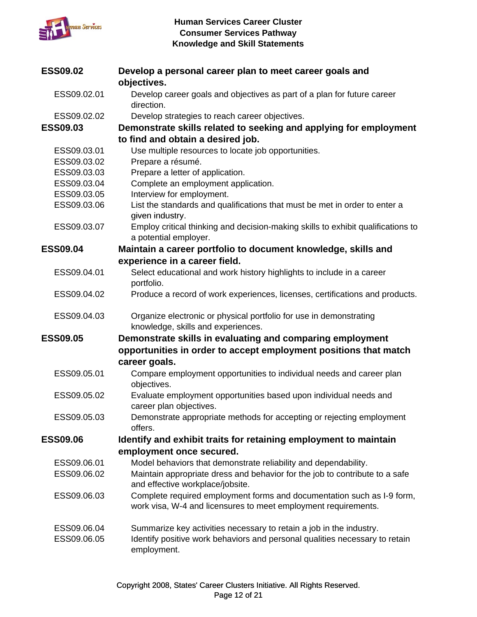

| <b>ESS09.02</b> | Develop a personal career plan to meet career goals and                                                   |
|-----------------|-----------------------------------------------------------------------------------------------------------|
|                 | objectives.                                                                                               |
| ESS09.02.01     | Develop career goals and objectives as part of a plan for future career<br>direction.                     |
| ESS09.02.02     | Develop strategies to reach career objectives.                                                            |
| <b>ESS09.03</b> | Demonstrate skills related to seeking and applying for employment                                         |
|                 | to find and obtain a desired job.                                                                         |
| ESS09.03.01     |                                                                                                           |
| ESS09.03.02     | Use multiple resources to locate job opportunities.<br>Prepare a résumé.                                  |
| ESS09.03.03     | Prepare a letter of application.                                                                          |
| ESS09.03.04     |                                                                                                           |
|                 | Complete an employment application.                                                                       |
| ESS09.03.05     | Interview for employment.                                                                                 |
| ESS09.03.06     | List the standards and qualifications that must be met in order to enter a<br>given industry.             |
| ESS09.03.07     | Employ critical thinking and decision-making skills to exhibit qualifications to<br>a potential employer. |
| <b>ESS09.04</b> | Maintain a career portfolio to document knowledge, skills and                                             |
|                 | experience in a career field.                                                                             |
| ESS09.04.01     | Select educational and work history highlights to include in a career                                     |
|                 | portfolio.                                                                                                |
| ESS09.04.02     | Produce a record of work experiences, licenses, certifications and products.                              |
| ESS09.04.03     | Organize electronic or physical portfolio for use in demonstrating<br>knowledge, skills and experiences.  |
| <b>ESS09.05</b> | Demonstrate skills in evaluating and comparing employment                                                 |
|                 | opportunities in order to accept employment positions that match                                          |
|                 | career goals.                                                                                             |
| ESS09.05.01     | Compare employment opportunities to individual needs and career plan<br>objectives.                       |
| ESS09.05.02     | Evaluate employment opportunities based upon individual needs and<br>career plan objectives.              |
| ESS09.05.03     | Demonstrate appropriate methods for accepting or rejecting employment<br>offers.                          |
| <b>ESS09.06</b> | Identify and exhibit traits for retaining employment to maintain                                          |
|                 | employment once secured.                                                                                  |
| ESS09.06.01     | Model behaviors that demonstrate reliability and dependability.                                           |
| ESS09.06.02     | Maintain appropriate dress and behavior for the job to contribute to a safe                               |
|                 | and effective workplace/jobsite.                                                                          |
| ESS09.06.03     | Complete required employment forms and documentation such as I-9 form,                                    |
|                 | work visa, W-4 and licensures to meet employment requirements.                                            |
| ESS09.06.04     | Summarize key activities necessary to retain a job in the industry.                                       |
| ESS09.06.05     | Identify positive work behaviors and personal qualities necessary to retain<br>employment.                |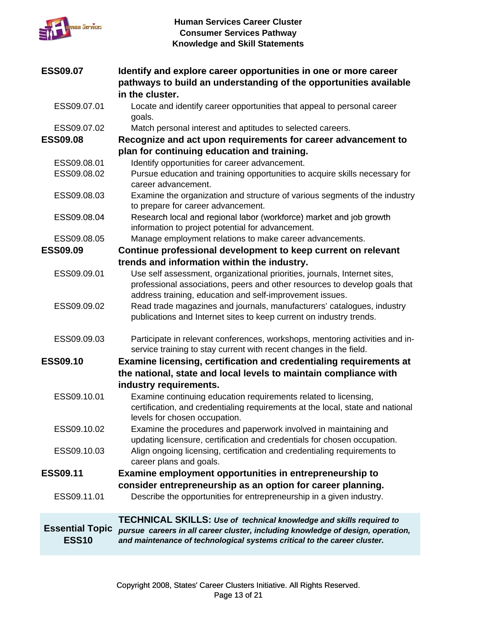

| <b>ESS09.07</b>                        | Identify and explore career opportunities in one or more career<br>pathways to build an understanding of the opportunities available<br>in the cluster.                                                                                   |
|----------------------------------------|-------------------------------------------------------------------------------------------------------------------------------------------------------------------------------------------------------------------------------------------|
| ESS09.07.01                            | Locate and identify career opportunities that appeal to personal career<br>goals.                                                                                                                                                         |
| ESS09.07.02                            | Match personal interest and aptitudes to selected careers.                                                                                                                                                                                |
| <b>ESS09.08</b>                        | Recognize and act upon requirements for career advancement to                                                                                                                                                                             |
|                                        | plan for continuing education and training.                                                                                                                                                                                               |
| ESS09.08.01                            | Identify opportunities for career advancement.                                                                                                                                                                                            |
| ESS09.08.02                            | Pursue education and training opportunities to acquire skills necessary for<br>career advancement.                                                                                                                                        |
| ESS09.08.03                            | Examine the organization and structure of various segments of the industry<br>to prepare for career advancement.                                                                                                                          |
| ESS09.08.04                            | Research local and regional labor (workforce) market and job growth<br>information to project potential for advancement.                                                                                                                  |
| ESS09.08.05                            | Manage employment relations to make career advancements.                                                                                                                                                                                  |
| <b>ESS09.09</b>                        | Continue professional development to keep current on relevant                                                                                                                                                                             |
|                                        | trends and information within the industry.                                                                                                                                                                                               |
| ESS09.09.01                            | Use self assessment, organizational priorities, journals, Internet sites,<br>professional associations, peers and other resources to develop goals that<br>address training, education and self-improvement issues.                       |
| ESS09.09.02                            | Read trade magazines and journals, manufacturers' catalogues, industry<br>publications and Internet sites to keep current on industry trends.                                                                                             |
| ESS09.09.03                            | Participate in relevant conferences, workshops, mentoring activities and in-<br>service training to stay current with recent changes in the field.                                                                                        |
| <b>ESS09.10</b>                        | <b>Examine licensing, certification and credentialing requirements at</b><br>the national, state and local levels to maintain compliance with                                                                                             |
|                                        | industry requirements.                                                                                                                                                                                                                    |
| ESS09.10.01                            | Examine continuing education requirements related to licensing,<br>certification, and credentialing requirements at the local, state and national<br>levels for chosen occupation.                                                        |
| ESS09.10.02                            | Examine the procedures and paperwork involved in maintaining and<br>updating licensure, certification and credentials for chosen occupation.                                                                                              |
| ESS09.10.03                            | Align ongoing licensing, certification and credentialing requirements to<br>career plans and goals.                                                                                                                                       |
| <b>ESS09.11</b>                        | Examine employment opportunities in entrepreneurship to                                                                                                                                                                                   |
|                                        | consider entrepreneurship as an option for career planning.                                                                                                                                                                               |
| ESS09.11.01                            | Describe the opportunities for entrepreneurship in a given industry.                                                                                                                                                                      |
| <b>Essential Topic</b><br><b>ESS10</b> | <b>TECHNICAL SKILLS: Use of technical knowledge and skills required to</b><br>pursue careers in all career cluster, including knowledge of design, operation,<br>and maintenance of technological systems critical to the career cluster. |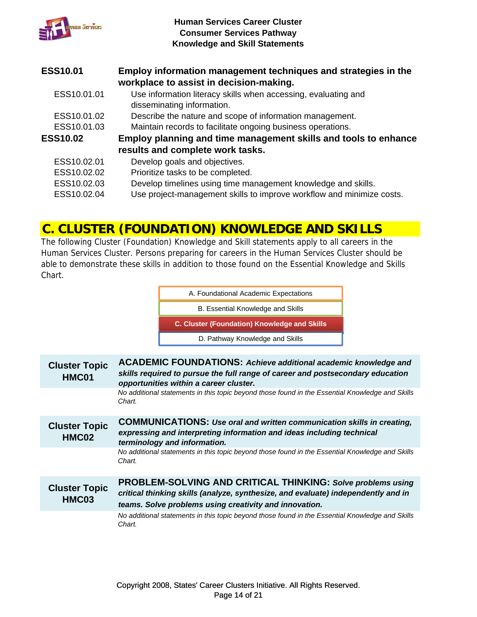

| <b>ESS10.01</b> | Employ information management techniques and strategies in the<br>workplace to assist in decision-making. |
|-----------------|-----------------------------------------------------------------------------------------------------------|
| ESS10.01.01     | Use information literacy skills when accessing, evaluating and<br>disseminating information.              |
| ESS10.01.02     | Describe the nature and scope of information management.                                                  |
| ESS10.01.03     | Maintain records to facilitate ongoing business operations.                                               |
| <b>ESS10.02</b> | Employ planning and time management skills and tools to enhance                                           |
|                 | results and complete work tasks.                                                                          |
| ESS10.02.01     | Develop goals and objectives.                                                                             |
| ESS10.02.02     | Prioritize tasks to be completed.                                                                         |
| ESS10.02.03     | Develop timelines using time management knowledge and skills.                                             |
| ESS10.02.04     | Use project-management skills to improve workflow and minimize costs.                                     |

### **C. CLUSTER (FOUNDATION) KNOWLEDGE AND SKILLS**

The following Cluster (Foundation) Knowledge and Skill statements apply to all careers in the Human Services Cluster. Persons preparing for careers in the Human Services Cluster should be able to demonstrate these skills in addition to those found on the Essential Knowledge and Skills Chart.

> D. Pathway Knowledge and Skills **C. Cluster (Foundation) Knowledge and Skills** B. Essential Knowledge and Skills A. Foundational Academic Expectations

| <b>Cluster Topic</b><br>HMC01 | <b>ACADEMIC FOUNDATIONS: Achieve additional academic knowledge and</b><br>skills required to pursue the full range of career and postsecondary education<br>opportunities within a career cluster.                |
|-------------------------------|-------------------------------------------------------------------------------------------------------------------------------------------------------------------------------------------------------------------|
|                               | No additional statements in this topic beyond those found in the Essential Knowledge and Skills<br>Chart.                                                                                                         |
| <b>Cluster Topic</b><br>HMC02 | <b>COMMUNICATIONS: Use oral and written communication skills in creating,</b><br>expressing and interpreting information and ideas including technical<br>terminology and information.                            |
|                               | No additional statements in this topic beyond those found in the Essential Knowledge and Skills<br>Chart.                                                                                                         |
| <b>Cluster Topic</b><br>HMC03 | <b>PROBLEM-SOLVING AND CRITICAL THINKING: Solve problems using</b><br>critical thinking skills (analyze, synthesize, and evaluate) independently and in<br>teams. Solve problems using creativity and innovation. |
|                               | No additional statements in this topic beyond those found in the Essential Knowledge and Skills<br>Chart.                                                                                                         |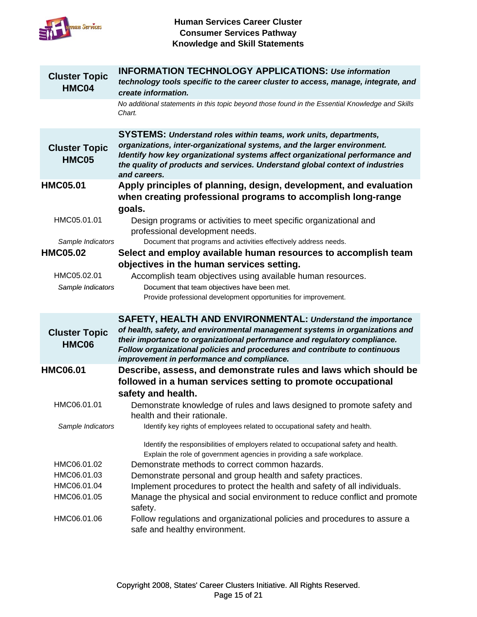

| <b>Cluster Topic</b><br>HMC04        | <b>INFORMATION TECHNOLOGY APPLICATIONS: Use information</b><br>technology tools specific to the career cluster to access, manage, integrate, and<br>create information.                                                                                                                                                               |
|--------------------------------------|---------------------------------------------------------------------------------------------------------------------------------------------------------------------------------------------------------------------------------------------------------------------------------------------------------------------------------------|
|                                      | No additional statements in this topic beyond those found in the Essential Knowledge and Skills<br>Chart.                                                                                                                                                                                                                             |
| <b>Cluster Topic</b><br><b>HMC05</b> | <b>SYSTEMS: Understand roles within teams, work units, departments,</b><br>organizations, inter-organizational systems, and the larger environment.<br>Identify how key organizational systems affect organizational performance and<br>the quality of products and services. Understand global context of industries<br>and careers. |
| <b>HMC05.01</b>                      | Apply principles of planning, design, development, and evaluation<br>when creating professional programs to accomplish long-range<br>goals.                                                                                                                                                                                           |
| HMC05.01.01                          | Design programs or activities to meet specific organizational and<br>professional development needs.                                                                                                                                                                                                                                  |
| Sample Indicators                    | Document that programs and activities effectively address needs.                                                                                                                                                                                                                                                                      |
| <b>HMC05.02</b>                      | Select and employ available human resources to accomplish team<br>objectives in the human services setting.                                                                                                                                                                                                                           |
| HMC05.02.01                          | Accomplish team objectives using available human resources.                                                                                                                                                                                                                                                                           |
| Sample Indicators                    | Document that team objectives have been met.<br>Provide professional development opportunities for improvement.                                                                                                                                                                                                                       |
|                                      | SAFETY, HEALTH AND ENVIRONMENTAL: Understand the importance<br>of health, safety, and environmental management systems in organizations and                                                                                                                                                                                           |
| <b>Cluster Topic</b><br><b>HMC06</b> | their importance to organizational performance and regulatory compliance.<br>Follow organizational policies and procedures and contribute to continuous<br>improvement in performance and compliance.                                                                                                                                 |
| <b>HMC06.01</b>                      | Describe, assess, and demonstrate rules and laws which should be                                                                                                                                                                                                                                                                      |
|                                      | followed in a human services setting to promote occupational                                                                                                                                                                                                                                                                          |
|                                      | safety and health.                                                                                                                                                                                                                                                                                                                    |
| HMC06.01.01                          | Demonstrate knowledge of rules and laws designed to promote safety and<br>health and their rationale.                                                                                                                                                                                                                                 |
| Sample Indicators                    | Identify key rights of employees related to occupational safety and health.                                                                                                                                                                                                                                                           |
|                                      | Identify the responsibilities of employers related to occupational safety and health.<br>Explain the role of government agencies in providing a safe workplace.                                                                                                                                                                       |
| HMC06.01.02                          | Demonstrate methods to correct common hazards.                                                                                                                                                                                                                                                                                        |
| HMC06.01.03                          | Demonstrate personal and group health and safety practices.                                                                                                                                                                                                                                                                           |
| HMC06.01.04<br>HMC06.01.05           | Implement procedures to protect the health and safety of all individuals.<br>Manage the physical and social environment to reduce conflict and promote<br>safety.                                                                                                                                                                     |
| HMC06.01.06                          | Follow regulations and organizational policies and procedures to assure a<br>safe and healthy environment.                                                                                                                                                                                                                            |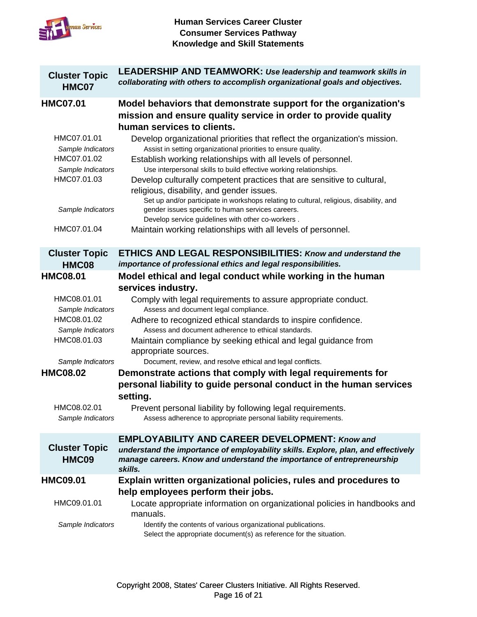

| <b>Cluster Topic</b><br>HMC07    | <b>LEADERSHIP AND TEAMWORK: Use leadership and teamwork skills in</b><br>collaborating with others to accomplish organizational goals and objectives.                                                          |
|----------------------------------|----------------------------------------------------------------------------------------------------------------------------------------------------------------------------------------------------------------|
| <b>HMC07.01</b>                  | Model behaviors that demonstrate support for the organization's<br>mission and ensure quality service in order to provide quality<br>human services to clients.                                                |
| HMC07.01.01<br>Sample Indicators | Develop organizational priorities that reflect the organization's mission.<br>Assist in setting organizational priorities to ensure quality.                                                                   |
| HMC07.01.02<br>Sample Indicators | Establish working relationships with all levels of personnel.<br>Use interpersonal skills to build effective working relationships.                                                                            |
| HMC07.01.03                      | Develop culturally competent practices that are sensitive to cultural,<br>religious, disability, and gender issues.<br>Set up and/or participate in workshops relating to cultural, religious, disability, and |
| Sample Indicators                | gender issues specific to human services careers.<br>Develop service guidelines with other co-workers.                                                                                                         |
| HMC07.01.04                      | Maintain working relationships with all levels of personnel.                                                                                                                                                   |
| <b>Cluster Topic</b><br>HMC08    | <b>ETHICS AND LEGAL RESPONSIBILITIES: Know and understand the</b><br>importance of professional ethics and legal responsibilities.                                                                             |
| <b>HMC08.01</b>                  | Model ethical and legal conduct while working in the human                                                                                                                                                     |
|                                  | services industry.                                                                                                                                                                                             |
| HMC08.01.01<br>Sample Indicators | Comply with legal requirements to assure appropriate conduct.<br>Assess and document legal compliance.                                                                                                         |
| HMC08.01.02                      | Adhere to recognized ethical standards to inspire confidence.                                                                                                                                                  |
| Sample Indicators<br>HMC08.01.03 | Assess and document adherence to ethical standards.                                                                                                                                                            |
|                                  | Maintain compliance by seeking ethical and legal guidance from<br>appropriate sources.                                                                                                                         |
| Sample Indicators                | Document, review, and resolve ethical and legal conflicts.                                                                                                                                                     |
| <b>HMC08.02</b>                  | Demonstrate actions that comply with legal requirements for                                                                                                                                                    |
|                                  | personal liability to guide personal conduct in the human services<br>setting.                                                                                                                                 |
| HMC08.02.01                      | Prevent personal liability by following legal requirements.                                                                                                                                                    |
| Sample Indicators                | Assess adherence to appropriate personal liability requirements.                                                                                                                                               |
|                                  | <b>EMPLOYABILITY AND CAREER DEVELOPMENT: Know and</b>                                                                                                                                                          |
| <b>Cluster Topic</b><br>HMC09    | understand the importance of employability skills. Explore, plan, and effectively<br>manage careers. Know and understand the importance of entrepreneurship<br>skills.                                         |
| <b>HMC09.01</b>                  | Explain written organizational policies, rules and procedures to<br>help employees perform their jobs.                                                                                                         |
| HMC09.01.01                      | Locate appropriate information on organizational policies in handbooks and<br>manuals.                                                                                                                         |
| Sample Indicators                | Identify the contents of various organizational publications.<br>Select the appropriate document(s) as reference for the situation.                                                                            |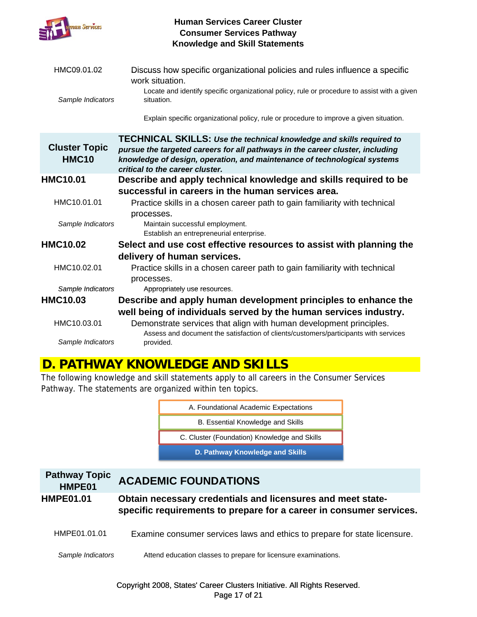

| HMC09.01.02                          | Discuss how specific organizational policies and rules influence a specific<br>work situation.                                                                                                                                                                              |
|--------------------------------------|-----------------------------------------------------------------------------------------------------------------------------------------------------------------------------------------------------------------------------------------------------------------------------|
| Sample Indicators                    | Locate and identify specific organizational policy, rule or procedure to assist with a given<br>situation.                                                                                                                                                                  |
|                                      | Explain specific organizational policy, rule or procedure to improve a given situation.                                                                                                                                                                                     |
| <b>Cluster Topic</b><br><b>HMC10</b> | <b>TECHNICAL SKILLS: Use the technical knowledge and skills required to</b><br>pursue the targeted careers for all pathways in the career cluster, including<br>knowledge of design, operation, and maintenance of technological systems<br>critical to the career cluster. |
| <b>HMC10.01</b>                      | Describe and apply technical knowledge and skills required to be                                                                                                                                                                                                            |
|                                      | successful in careers in the human services area.                                                                                                                                                                                                                           |
| HMC10.01.01                          | Practice skills in a chosen career path to gain familiarity with technical<br>processes.                                                                                                                                                                                    |
| Sample Indicators                    | Maintain successful employment.<br>Establish an entrepreneurial enterprise.                                                                                                                                                                                                 |
| <b>HMC10.02</b>                      | Select and use cost effective resources to assist with planning the                                                                                                                                                                                                         |
|                                      | delivery of human services.                                                                                                                                                                                                                                                 |
| HMC10.02.01                          | Practice skills in a chosen career path to gain familiarity with technical<br>processes.                                                                                                                                                                                    |
| Sample Indicators                    | Appropriately use resources.                                                                                                                                                                                                                                                |
| <b>HMC10.03</b>                      | Describe and apply human development principles to enhance the                                                                                                                                                                                                              |
|                                      | well being of individuals served by the human services industry.                                                                                                                                                                                                            |
| HMC10.03.01                          | Demonstrate services that align with human development principles.<br>Assess and document the satisfaction of clients/customers/participants with services                                                                                                                  |
| Sample Indicators                    | provided.                                                                                                                                                                                                                                                                   |

## **D. PATHWAY KNOWLEDGE AND SKILLS**

The following knowledge and skill statements apply to all careers in the Consumer Services Pathway. The statements are organized within ten topics.

| D. Pathway Knowledge and Skills              |  |
|----------------------------------------------|--|
| C. Cluster (Foundation) Knowledge and Skills |  |
| B. Essential Knowledge and Skills            |  |
| A. Foundational Academic Expectations        |  |

| <b>Pathway Topic</b><br>HMPE01 | <b>ACADEMIC FOUNDATIONS</b>                                                                                                        |
|--------------------------------|------------------------------------------------------------------------------------------------------------------------------------|
| <b>HMPE01.01</b>               | Obtain necessary credentials and licensures and meet state-<br>specific requirements to prepare for a career in consumer services. |
| HMPE01.01.01                   | Examine consumer services laws and ethics to prepare for state licensure.                                                          |
| Sample Indicators              | Attend education classes to prepare for licensure examinations.                                                                    |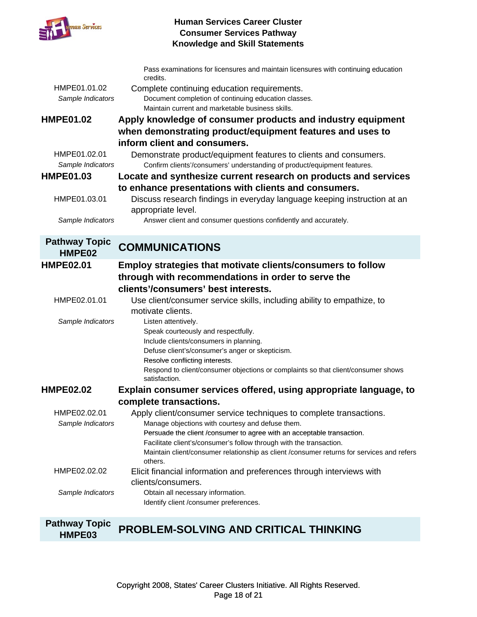

|                                   | Pass examinations for licensures and maintain licensures with continuing education<br>credits.                                               |
|-----------------------------------|----------------------------------------------------------------------------------------------------------------------------------------------|
| HMPE01.01.02                      | Complete continuing education requirements.                                                                                                  |
| Sample Indicators                 | Document completion of continuing education classes.                                                                                         |
|                                   | Maintain current and marketable business skills.                                                                                             |
| <b>HMPE01.02</b>                  | Apply knowledge of consumer products and industry equipment                                                                                  |
|                                   | when demonstrating product/equipment features and uses to                                                                                    |
|                                   | inform client and consumers.                                                                                                                 |
| HMPE01.02.01<br>Sample Indicators | Demonstrate product/equipment features to clients and consumers.<br>Confirm clients'/consumers' understanding of product/equipment features. |
| <b>HMPE01.03</b>                  | Locate and synthesize current research on products and services                                                                              |
|                                   | to enhance presentations with clients and consumers.                                                                                         |
| HMPE01.03.01                      | Discuss research findings in everyday language keeping instruction at an<br>appropriate level.                                               |
| Sample Indicators                 | Answer client and consumer questions confidently and accurately.                                                                             |
| <b>Pathway Topic</b>              | <b>COMMUNICATIONS</b>                                                                                                                        |
| HMPE02                            |                                                                                                                                              |
| <b>HMPE02.01</b>                  | Employ strategies that motivate clients/consumers to follow                                                                                  |
|                                   | through with recommendations in order to serve the                                                                                           |
|                                   | clients'/consumers' best interests.                                                                                                          |
| HMPE02.01.01                      | Use client/consumer service skills, including ability to empathize, to                                                                       |
|                                   | motivate clients.                                                                                                                            |
| Sample Indicators                 | Listen attentively.                                                                                                                          |
|                                   | Speak courteously and respectfully.                                                                                                          |
|                                   | Include clients/consumers in planning.                                                                                                       |
|                                   | Defuse client's/consumer's anger or skepticism.                                                                                              |
|                                   | Resolve conflicting interests.                                                                                                               |
|                                   | Respond to client/consumer objections or complaints so that client/consumer shows<br>satisfaction.                                           |
| <b>HMPE02.02</b>                  | Explain consumer services offered, using appropriate language, to                                                                            |
|                                   | complete transactions.                                                                                                                       |
| HMPE02.02.01                      | Apply client/consumer service techniques to complete transactions.                                                                           |
| Sample Indicators                 | Manage objections with courtesy and defuse them.                                                                                             |
|                                   | Persuade the client /consumer to agree with an acceptable transaction.                                                                       |
|                                   | Facilitate client's/consumer's follow through with the transaction.                                                                          |
|                                   | Maintain client/consumer relationship as client /consumer returns for services and refers<br>others.                                         |
| HMPE02.02.02                      | Elicit financial information and preferences through interviews with                                                                         |
|                                   | clients/consumers.                                                                                                                           |
| Sample Indicators                 | Obtain all necessary information.                                                                                                            |
|                                   | Identify client /consumer preferences.                                                                                                       |

#### **Pathway Topic HMPE03 PROBLEM-SOLVING AND CRITICAL THINKING**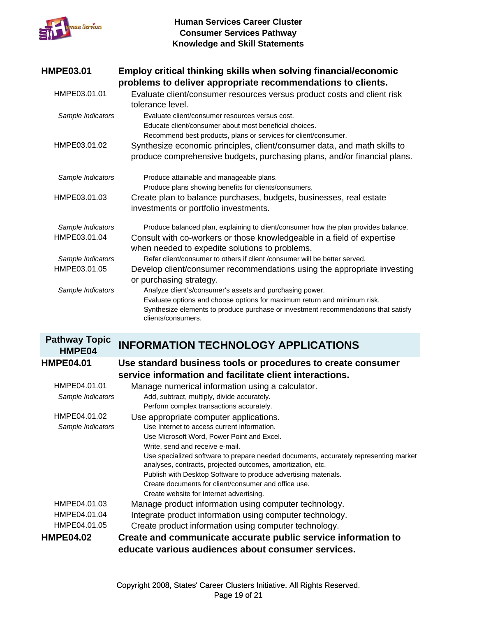

| <b>HMPE03.01</b>  | Employ critical thinking skills when solving financial/economic<br>problems to deliver appropriate recommendations to clients.                                                                                                                   |
|-------------------|--------------------------------------------------------------------------------------------------------------------------------------------------------------------------------------------------------------------------------------------------|
| HMPE03.01.01      | Evaluate client/consumer resources versus product costs and client risk<br>tolerance level.                                                                                                                                                      |
| Sample Indicators | Evaluate client/consumer resources versus cost.<br>Educate client/consumer about most beneficial choices.                                                                                                                                        |
| HMPE03.01.02      | Recommend best products, plans or services for client/consumer.<br>Synthesize economic principles, client/consumer data, and math skills to<br>produce comprehensive budgets, purchasing plans, and/or financial plans.                          |
| Sample Indicators | Produce attainable and manageable plans.<br>Produce plans showing benefits for clients/consumers.                                                                                                                                                |
| HMPE03.01.03      | Create plan to balance purchases, budgets, businesses, real estate<br>investments or portfolio investments.                                                                                                                                      |
| Sample Indicators | Produce balanced plan, explaining to client/consumer how the plan provides balance.                                                                                                                                                              |
| HMPE03.01.04      | Consult with co-workers or those knowledgeable in a field of expertise<br>when needed to expedite solutions to problems.                                                                                                                         |
| Sample Indicators | Refer client/consumer to others if client /consumer will be better served.                                                                                                                                                                       |
| HMPE03.01.05      | Develop client/consumer recommendations using the appropriate investing<br>or purchasing strategy.                                                                                                                                               |
| Sample Indicators | Analyze client's/consumer's assets and purchasing power.<br>Evaluate options and choose options for maximum return and minimum risk.<br>Synthesize elements to produce purchase or investment recommendations that satisfy<br>clients/consumers. |

#### **Pathway Topic HMPE04 INFORMATION TECHNOLOGY APPLICATIONS**

| HMPE04            |                                                                                                                                                     |
|-------------------|-----------------------------------------------------------------------------------------------------------------------------------------------------|
| <b>HMPE04.01</b>  | Use standard business tools or procedures to create consumer<br>service information and facilitate client interactions.                             |
| HMPE04.01.01      | Manage numerical information using a calculator.                                                                                                    |
| Sample Indicators | Add, subtract, multiply, divide accurately.                                                                                                         |
|                   | Perform complex transactions accurately.                                                                                                            |
| HMPE04.01.02      | Use appropriate computer applications.                                                                                                              |
| Sample Indicators | Use Internet to access current information.                                                                                                         |
|                   | Use Microsoft Word, Power Point and Excel.                                                                                                          |
|                   | Write, send and receive e-mail.                                                                                                                     |
|                   | Use specialized software to prepare needed documents, accurately representing market<br>analyses, contracts, projected outcomes, amortization, etc. |
|                   | Publish with Desktop Software to produce advertising materials.                                                                                     |
|                   | Create documents for client/consumer and office use.                                                                                                |
|                   | Create website for Internet advertising.                                                                                                            |
| HMPE04.01.03      | Manage product information using computer technology.                                                                                               |
| HMPE04.01.04      | Integrate product information using computer technology.                                                                                            |
| HMPE04.01.05      | Create product information using computer technology.                                                                                               |
| <b>HMPE04.02</b>  | Create and communicate accurate public service information to                                                                                       |
|                   | educate various audiences about consumer services.                                                                                                  |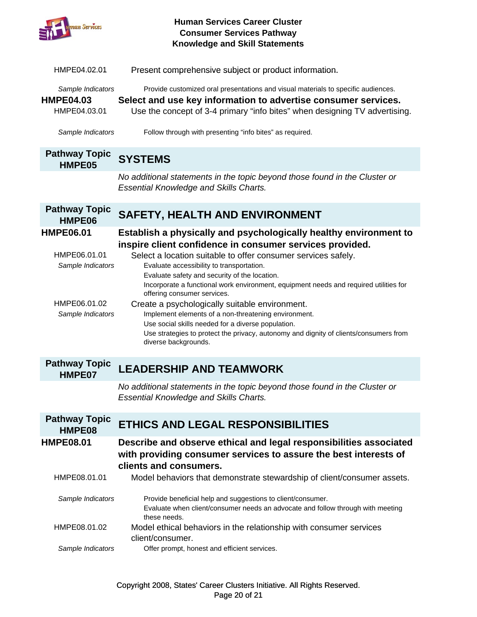

| HMPE04.02.01                                                                               | Present comprehensive subject or product information.                                                                                                                                                                                                                                                                                                                                                                                                                                                                                                                                                                                                                                                 |
|--------------------------------------------------------------------------------------------|-------------------------------------------------------------------------------------------------------------------------------------------------------------------------------------------------------------------------------------------------------------------------------------------------------------------------------------------------------------------------------------------------------------------------------------------------------------------------------------------------------------------------------------------------------------------------------------------------------------------------------------------------------------------------------------------------------|
| Sample Indicators<br><b>HMPE04.03</b><br>HMPE04.03.01                                      | Provide customized oral presentations and visual materials to specific audiences.<br>Select and use key information to advertise consumer services.<br>Use the concept of 3-4 primary "info bites" when designing TV advertising.                                                                                                                                                                                                                                                                                                                                                                                                                                                                     |
| Sample Indicators                                                                          | Follow through with presenting "info bites" as required.                                                                                                                                                                                                                                                                                                                                                                                                                                                                                                                                                                                                                                              |
| <b>Pathway Topic</b><br>HMPE05                                                             | <b>SYSTEMS</b>                                                                                                                                                                                                                                                                                                                                                                                                                                                                                                                                                                                                                                                                                        |
|                                                                                            | No additional statements in the topic beyond those found in the Cluster or<br><b>Essential Knowledge and Skills Charts.</b>                                                                                                                                                                                                                                                                                                                                                                                                                                                                                                                                                                           |
| <b>Pathway Topic</b><br>HMPE06                                                             | <b>SAFETY, HEALTH AND ENVIRONMENT</b>                                                                                                                                                                                                                                                                                                                                                                                                                                                                                                                                                                                                                                                                 |
| <b>HMPE06.01</b><br>HMPE06.01.01<br>Sample Indicators<br>HMPE06.01.02<br>Sample Indicators | Establish a physically and psychologically healthy environment to<br>inspire client confidence in consumer services provided.<br>Select a location suitable to offer consumer services safely.<br>Evaluate accessibility to transportation.<br>Evaluate safety and security of the location.<br>Incorporate a functional work environment, equipment needs and required utilities for<br>offering consumer services.<br>Create a psychologically suitable environment.<br>Implement elements of a non-threatening environment.<br>Use social skills needed for a diverse population.<br>Use strategies to protect the privacy, autonomy and dignity of clients/consumers from<br>diverse backgrounds. |
| <b>Pathway Topic</b><br>HMPE07                                                             | <b>LEADERSHIP AND TEAMWORK</b>                                                                                                                                                                                                                                                                                                                                                                                                                                                                                                                                                                                                                                                                        |
|                                                                                            | No additional statements in the topic beyond those found in the Cluster or<br><b>Essential Knowledge and Skills Charts.</b>                                                                                                                                                                                                                                                                                                                                                                                                                                                                                                                                                                           |
| <b>Pathway Topic</b><br>HMPE08                                                             | <b>ETHICS AND LEGAL RESPONSIBILITIES</b>                                                                                                                                                                                                                                                                                                                                                                                                                                                                                                                                                                                                                                                              |
| <b>HMPE08.01</b>                                                                           | Describe and observe ethical and legal responsibilities associated<br>with providing consumer services to assure the best interests of<br>clients and consumers.                                                                                                                                                                                                                                                                                                                                                                                                                                                                                                                                      |
| HMPE08.01.01                                                                               | Model behaviors that demonstrate stewardship of client/consumer assets.                                                                                                                                                                                                                                                                                                                                                                                                                                                                                                                                                                                                                               |
| Sample Indicators                                                                          | Provide beneficial help and suggestions to client/consumer.<br>Evaluate when client/consumer needs an advocate and follow through with meeting<br>these needs.                                                                                                                                                                                                                                                                                                                                                                                                                                                                                                                                        |
| HMPE08.01.02                                                                               | Model ethical behaviors in the relationship with consumer services<br>client/consumer.                                                                                                                                                                                                                                                                                                                                                                                                                                                                                                                                                                                                                |
| Sample Indicators                                                                          | Offer prompt, honest and efficient services.                                                                                                                                                                                                                                                                                                                                                                                                                                                                                                                                                                                                                                                          |